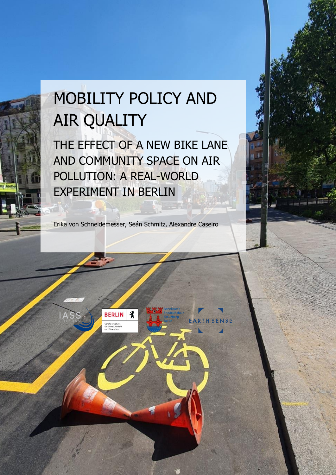# MOBILITY POLICY AND AIR QUALITY

THE EFFECT OF A NEW BIKE LANE AND COMMUNITY SPACE ON AIR POLLUTION: A REAL-WORLD EXPERIMENT IN BERLIN

Erika von Schneidemesser, Seán Schmitz, Alexandre Caseiro

 $\lambda$ 

ENSE

**BERLIN** 

Senatsverwaltung<br>für Umwelt, Verkeh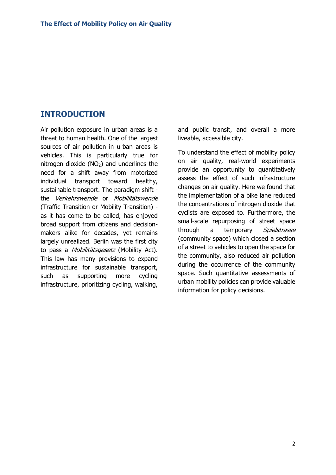## **INTRODUCTION**

Air pollution exposure in urban areas is a threat to human health. One of the largest sources of air pollution in urban areas is vehicles. This is particularly true for nitrogen dioxide  $(NO<sub>2</sub>)$  and underlines the need for a shift away from motorized individual transport toward healthy, sustainable transport. The paradigm shift the Verkehrswende or Mobilitätswende (Traffic Transition or Mobility Transition) as it has come to be called, has enjoyed broad support from citizens and decisionmakers alike for decades, yet remains largely unrealized. Berlin was the first city to pass a *Mobilitätsgesetz* (Mobility Act). This law has many provisions to expand infrastructure for sustainable transport, such as supporting more cycling infrastructure, prioritizing cycling, walking,

and public transit, and overall a more liveable, accessible city.

To understand the effect of mobility policy on air quality, real-world experiments provide an opportunity to quantitatively assess the effect of such infrastructure changes on air quality. Here we found that the implementation of a bike lane reduced the concentrations of nitrogen dioxide that cyclists are exposed to. Furthermore, the small-scale repurposing of street space through a temporary Spielstrasse (community space) which closed a section of a street to vehicles to open the space for the community, also reduced air pollution during the occurrence of the community space. Such quantitative assessments of urban mobility policies can provide valuable information for policy decisions.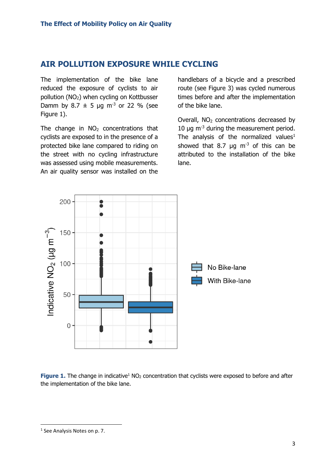## **AIR POLLUTION EXPOSURE WHILE CYCLING**

The implementation of the bike lane reduced the exposure of cyclists to air pollution (NO<sub>2</sub>) when cycling on Kottbusser Damm by 8.7  $\pm$  5 µg m<sup>-3</sup> or 22 % (see Figure 1).

The change in  $NO<sub>2</sub>$  concentrations that cyclists are exposed to in the presence of a protected bike lane compared to riding on the street with no cycling infrastructure was assessed using mobile measurements. An air quality sensor was installed on the

handlebars of a bicycle and a prescribed route (see Figure 3) was cycled numerous times before and after the implementation of the bike lane.

Overall,  $NO<sub>2</sub>$  concentrations decreased by 10  $\mu$ q m<sup>-3</sup> during the measurement period. The analysis of the normalized values<sup>1</sup> showed that 8.7  $\mu$ g m<sup>-3</sup> of this can be attributed to the installation of the bike lane.



**Figure 1.** The change in indicative<sup>1</sup> NO<sub>2</sub> concentration that cyclists were exposed to before and after the implementation of the bike lane.

<sup>&</sup>lt;sup>1</sup> See Analysis Notes on p. 7.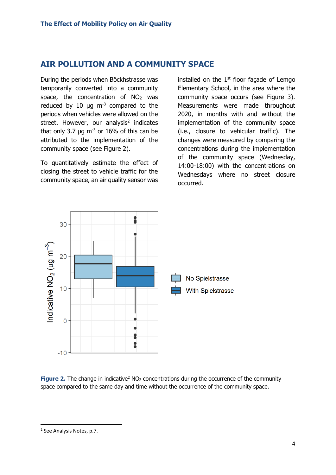# **AIR POLLUTION AND A COMMUNITY SPACE**

During the periods when Böckhstrasse was temporarily converted into a community space, the concentration of  $NO<sub>2</sub>$  was reduced by 10  $\mu$ g m<sup>-3</sup> compared to the periods when vehicles were allowed on the street. However, our analysis<sup>2</sup> indicates that only 3.7  $\mu$ g m<sup>-3</sup> or 16% of this can be attributed to the implementation of the community space (see Figure 2).

To quantitatively estimate the effect of closing the street to vehicle traffic for the community space, an air quality sensor was

installed on the  $1<sup>st</sup>$  floor façade of Lemgo Elementary School, in the area where the community space occurs (see Figure 3). Measurements were made throughout 2020, in months with and without the implementation of the community space (i.e., closure to vehicular traffic). The changes were measured by comparing the concentrations during the implementation of the community space (Wednesday, 14:00-18:00) with the concentrations on Wednesdays where no street closure occurred.



**Figure 2.** The change in indicative<sup>2</sup> NO<sub>2</sub> concentrations during the occurrence of the community space compared to the same day and time without the occurrence of the community space.

<sup>&</sup>lt;sup>2</sup> See Analysis Notes, p.7.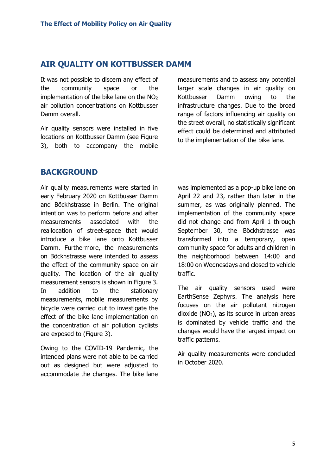### **AIR QUALITY ON KOTTBUSSER DAMM**

It was not possible to discern any effect of the community space or the implementation of the bike lane on the  $NO<sub>2</sub>$ air pollution concentrations on Kottbusser Damm overall.

Air quality sensors were installed in five locations on Kottbusser Damm (see Figure 3), both to accompany the mobile

measurements and to assess any potential larger scale changes in air quality on Kottbusser Damm owing to the infrastructure changes. Due to the broad range of factors influencing air quality on the street overall, no statistically significant effect could be determined and attributed to the implementation of the bike lane.

## **BACKGROUND**

Air quality measurements were started in early February 2020 on Kottbusser Damm and Böckhstrasse in Berlin. The original intention was to perform before and after measurements associated with the reallocation of street-space that would introduce a bike lane onto Kottbusser Damm. Furthermore, the measurements on Böckhstrasse were intended to assess the effect of the community space on air quality. The location of the air quality measurement sensors is shown in Figure 3. In addition to the stationary measurements, mobile measurements by bicycle were carried out to investigate the effect of the bike lane implementation on the concentration of air pollution cyclists are exposed to (Figure 3).

Owing to the COVID-19 Pandemic, the intended plans were not able to be carried out as designed but were adjusted to accommodate the changes. The bike lane

was implemented as a pop-up bike lane on April 22 and 23, rather than later in the summer, as was originally planned. The implementation of the community space did not change and from April 1 through September 30, the Böckhstrasse was transformed into a temporary, open community space for adults and children in the neighborhood between 14:00 and 18:00 on Wednesdays and closed to vehicle traffic.

The air quality sensors used were EarthSense Zephyrs. The analysis here focuses on the air pollutant nitrogen dioxide  $(NO<sub>2</sub>)$ , as its source in urban areas is dominated by vehicle traffic and the changes would have the largest impact on traffic patterns.

Air quality measurements were concluded in October 2020.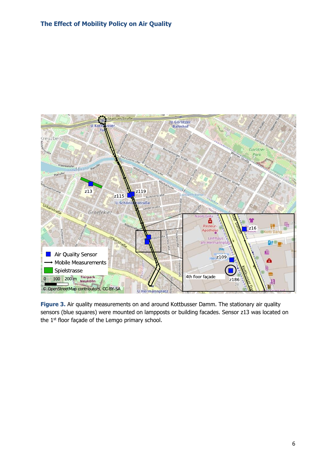

**Figure 3.** Air quality measurements on and around Kottbusser Damm. The stationary air quality sensors (blue squares) were mounted on lampposts or building facades. Sensor z13 was located on the 1<sup>st</sup> floor façade of the Lemgo primary school.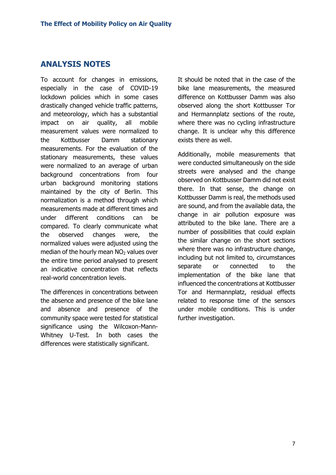## **ANALYSIS NOTES**

To account for changes in emissions, especially in the case of COVID-19 lockdown policies which in some cases drastically changed vehicle traffic patterns, and meteorology, which has a substantial impact on air quality, all mobile measurement values were normalized to the Kottbusser Damm stationary measurements. For the evaluation of the stationary measurements, these values were normalized to an average of urban background concentrations from four urban background monitoring stations maintained by the city of Berlin. This normalization is a method through which measurements made at different times and under different conditions can be compared. To clearly communicate what the observed changes were, the normalized values were adjusted using the median of the hourly mean  $NO<sub>2</sub>$  values over the entire time period analysed to present an indicative concentration that reflects real-world concentration levels.

The differences in concentrations between the absence and presence of the bike lane and absence and presence of the community space were tested for statistical significance using the Wilcoxon-Mann-Whitney U-Test. In both cases the differences were statistically significant.

It should be noted that in the case of the bike lane measurements, the measured difference on Kottbusser Damm was also observed along the short Kottbusser Tor and Hermannplatz sections of the route, where there was no cycling infrastructure change. It is unclear why this difference exists there as well.

Additionally, mobile measurements that were conducted simultaneously on the side streets were analysed and the change observed on Kottbusser Damm did not exist there. In that sense, the change on Kottbusser Damm is real, the methods used are sound, and from the available data, the change in air pollution exposure was attributed to the bike lane. There are a number of possibilities that could explain the similar change on the short sections where there was no infrastructure change, including but not limited to, circumstances separate or connected to the implementation of the bike lane that influenced the concentrations at Kottbusser Tor and Hermannplatz, residual effects related to response time of the sensors under mobile conditions. This is under further investigation.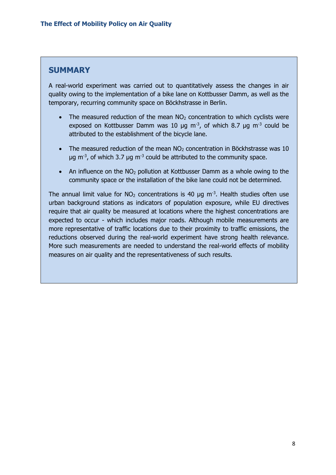# **SUMMARY**

A real-world experiment was carried out to quantitatively assess the changes in air quality owing to the implementation of a bike lane on Kottbusser Damm, as well as the temporary, recurring community space on Böckhstrasse in Berlin.

- The measured reduction of the mean  $NO<sub>2</sub>$  concentration to which cyclists were exposed on Kottbusser Damm was 10  $\mu$ g m<sup>-3</sup>, of which 8.7  $\mu$ g m<sup>-3</sup> could be attributed to the establishment of the bicycle lane.
- The measured reduction of the mean  $NO<sub>2</sub>$  concentration in Böckhstrasse was 10  $\mu$ g m<sup>-3</sup>, of which 3.7  $\mu$ g m<sup>-3</sup> could be attributed to the community space.
- An influence on the  $NO<sub>2</sub>$  pollution at Kottbusser Damm as a whole owing to the community space or the installation of the bike lane could not be determined.

The annual limit value for  $NO<sub>2</sub>$  concentrations is 40  $\mu$ g m<sup>-3</sup>. Health studies often use urban background stations as indicators of population exposure, while EU directives require that air quality be measured at locations where the highest concentrations are expected to occur - which includes major roads. Although mobile measurements are more representative of traffic locations due to their proximity to traffic emissions, the reductions observed during the real-world experiment have strong health relevance. More such measurements are needed to understand the real-world effects of mobility measures on air quality and the representativeness of such results.